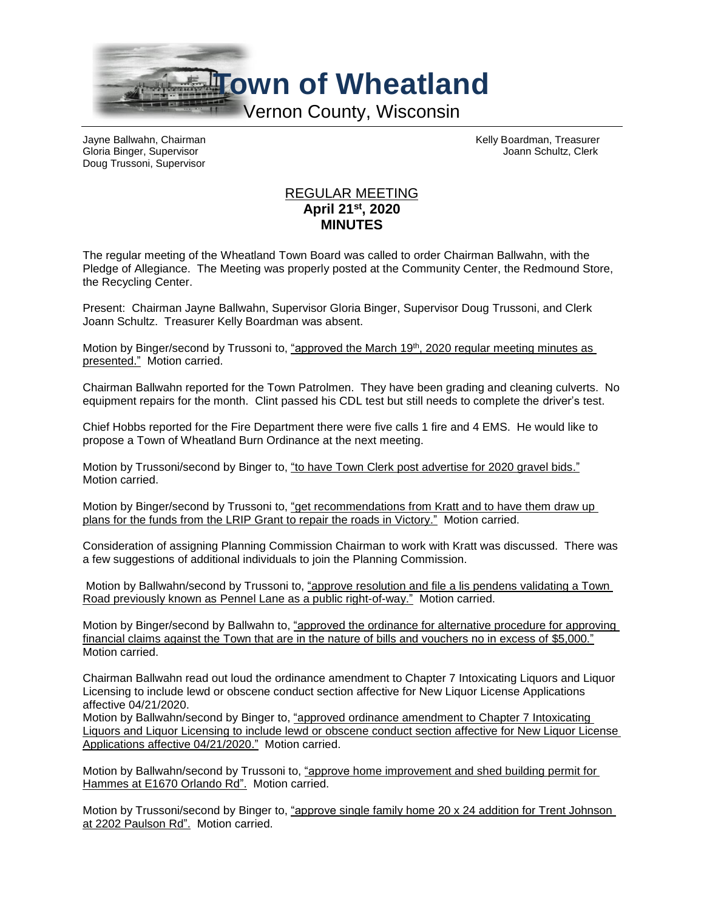

Gloria Binger, Supervisor Joann Schultz, Clerk Doug Trussoni, Supervisor

Jayne Ballwahn, Chairman Kelly Boardman, Treasurer

## REGULAR MEETING **April 21st, 2020 MINUTES**

The regular meeting of the Wheatland Town Board was called to order Chairman Ballwahn, with the Pledge of Allegiance. The Meeting was properly posted at the Community Center, the Redmound Store, the Recycling Center.

Present: Chairman Jayne Ballwahn, Supervisor Gloria Binger, Supervisor Doug Trussoni, and Clerk Joann Schultz. Treasurer Kelly Boardman was absent.

Motion by Binger/second by Trussoni to, "approved the March 19<sup>th</sup>, 2020 regular meeting minutes as presented." Motion carried.

Chairman Ballwahn reported for the Town Patrolmen. They have been grading and cleaning culverts. No equipment repairs for the month. Clint passed his CDL test but still needs to complete the driver's test.

Chief Hobbs reported for the Fire Department there were five calls 1 fire and 4 EMS. He would like to propose a Town of Wheatland Burn Ordinance at the next meeting.

Motion by Trussoni/second by Binger to, "to have Town Clerk post advertise for 2020 gravel bids." Motion carried.

Motion by Binger/second by Trussoni to, "get recommendations from Kratt and to have them draw up plans for the funds from the LRIP Grant to repair the roads in Victory." Motion carried.

Consideration of assigning Planning Commission Chairman to work with Kratt was discussed. There was a few suggestions of additional individuals to join the Planning Commission.

Motion by Ballwahn/second by Trussoni to, "approve resolution and file a lis pendens validating a Town Road previously known as Pennel Lane as a public right-of-way." Motion carried.

Motion by Binger/second by Ballwahn to, "approved the ordinance for alternative procedure for approving financial claims against the Town that are in the nature of bills and vouchers no in excess of \$5,000." Motion carried.

Chairman Ballwahn read out loud the ordinance amendment to Chapter 7 Intoxicating Liquors and Liquor Licensing to include lewd or obscene conduct section affective for New Liquor License Applications affective 04/21/2020.

Motion by Ballwahn/second by Binger to, "approved ordinance amendment to Chapter 7 Intoxicating Liquors and Liquor Licensing to include lewd or obscene conduct section affective for New Liquor License Applications affective 04/21/2020." Motion carried.

Motion by Ballwahn/second by Trussoni to, "approve home improvement and shed building permit for Hammes at E1670 Orlando Rd". Motion carried.

Motion by Trussoni/second by Binger to, "approve single family home 20 x 24 addition for Trent Johnson at 2202 Paulson Rd". Motion carried.